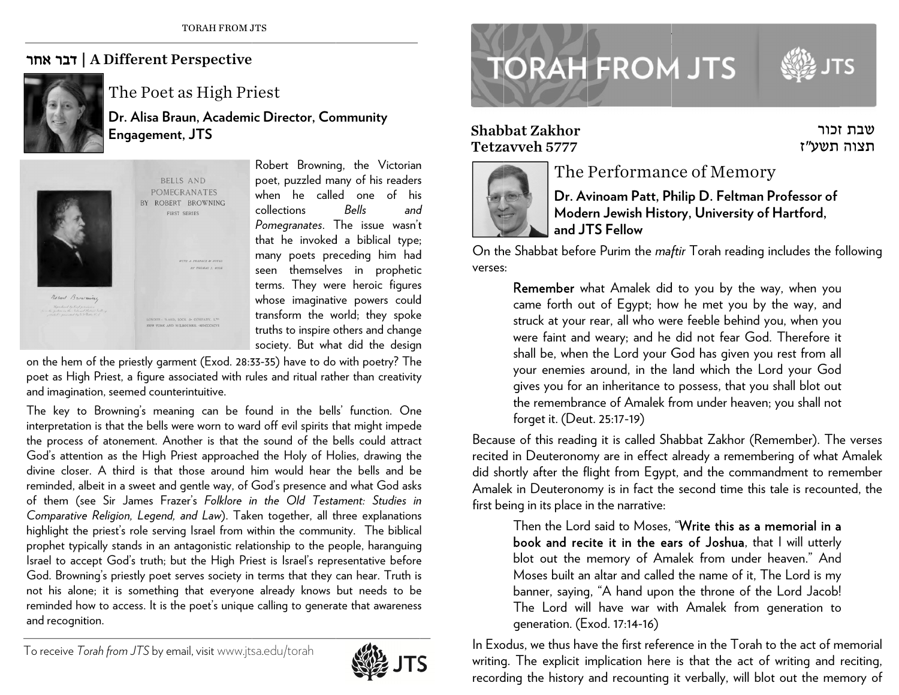## | דבר אחר A Different Perspective



The Poet as High Priest

**Dr. Alisa B Braun, Academi ic Director, Co mmunity Engagem e ent, JTS** 



**BELLS AND** POMEGRANATES BY ROBERT BROWNING **SUPER CEPIES** 

> ONDON: WARD, LOCK & COMPANY, L<sup>T</sup> EW VORE AND MELBOURNE AIDCO

VITH A PRESACE AN NOT  $\sim$ 

Robert Brownin g, the Victorian poet, puzzled ma any of his readers when he called one of his collections *Pomegranates*. T The issue wasn't that he invoke d d a biblical type; many poets pre eceding him ha d seen themselvees in prophetic terms. They were heroic figures whose imaginati ve powers coul d transform the world; they spoke truths to inspire others and change society. But what did the design *Bells and*nssdit and cusdie eney eetees

on the hem of the priestly garment (Exod. 28:33-35) have to do with poetry? The poet as High Priest, a figure associated with rules and ritual rather than creativity and imagination, seemed counterintuitive.

The key to Browning's meaning can be found in the bells' function. One interpretation is that the bells were worn to ward off evil spirits that might impede the process of atonement. Another is that the sound of the bells could attract God's attention as the High Priest approached the Holy of Holies, drawing the divine closer. A third is that those around him would hear the bells and be reminded, albeit in a sweet and gentle way, of God's presence and what God asks of them (see Sir James Frazer's *Folklore in the Old Testament: Studies in* Comparative Religion, Legend, and Law). Taken together, all three explanations C*omparative Keiigion, Legend, and Law)*. Taken together, all three explanations<br>highlight the priest's role serving Israel from within the community. The biblical prophet typically stands in an antagonistic relationship to the people, haranguing lsrael to accept God's truth; but the High Priest is Israel's representative before God. Browning's priestly poet serves society in terms that they can hear. Truth is not his alone; it is something that everyone already knows but needs to be reminded how to access. It is the poet's unique calling to generate that awareness and recognition.





## Shabbat Zakhor Tetzaavveh 5777



## The Performance of Memory

**Dr. Av vinoam Patt, P h hilip D. Feltm a an Professor of Mode rn Jewish Hist o ory, University of Hartford, and JTTS Fellow**

שבת זכור<br>תצוה תשע*"*ז שבת זכור

On the Shabbat before Purim the *maftir* Torah reading includes the following verses:

esesbbat Zakhor **Remember** what Amalek did to you by the way, when you came forth out of Egypt; how he met you by the way, and struck at your rear, all who w e ere feeble behin d d you, when you were faint and weary; and he did not fear God. Therefore it shall be, when the Lord your God has given you rest from all your enemies around, in the land which the Lord your Go d gives you for an inheritance to possess, that you shall blot out the remembra nce of Amalek f from under heav en; you shall not forget it. (Deut. 25:17-19) u<br>uutit<br>d<br>tt<br>tt<br>ne verses

Because of this reading it is called Shabbat Zakhor (Remember). The verses recited in Deuteronomy are in effect already a remembering of what Amalek did s h hortly after the f light from Egyp t, and the com m mandment to re m member Amalek in Deuteronomy is in fact the second time this tale is recounted, the first b e eing in its place i n the narrative:

banner, saying, "A hand upon the throne of the Lord Jacob!<br>The Lord will have war with Amalek from generation to<br>generation. (Exod. 17:14-16)<br>In Exodus, we thus have the first reference in the Torah to the act of memorial Then the Lord said to Moses, "**Write this as a memorial in a** book and recite it in the ears of Joshua, that I will utterly blot out the memory of Amalek from under heaven." And Moses built an altar and called the name of it, The Lord is my banner, saying, "A hand upon the throne of the Lord Jacob! The Lord wil l have war wit h Amalek fromm generation t ogeneration. (E xod. 17:14-16)

writin g g. The explicit i mplication here is that the act of writing and reciting, recording the history and recounting it verbally, will blot out the memory of